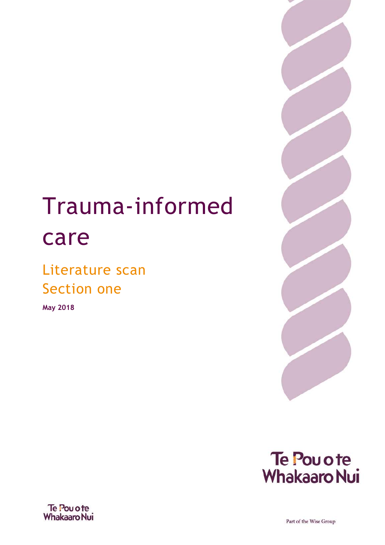# Trauma-informed care

### Literature scan Section one

**May 2018**







Part of the Wise Group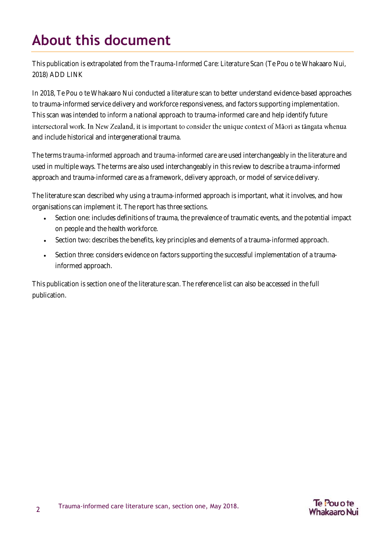### <span id="page-1-0"></span>**About this document**

This publication is extrapolated from the *Trauma-Informed Care: Literature Scan* (Te Pou o te Whakaaro Nui, 2018) ADD LINK

In 2018, Te Pou o te Whakaaro Nui conducted a literature scan to better understand evidence-based approaches to trauma-informed service delivery and workforce responsiveness, and factors supporting implementation. This scan was intended to inform a national approach to trauma-informed care and help identify future intersectoral work. In New Zealand, it is important to consider the unique context of Māori as tāngata whenua and include historical and intergenerational trauma.

The terms *trauma-informed approach* and *trauma-informed care* are used interchangeably in the literature and used in multiple ways. The terms are also used interchangeably in this review to describe a trauma-informed approach and trauma-informed care as a framework, delivery approach, or model of service delivery.

The literature scan described why using a trauma-informed approach is important, what it involves, and how organisations can implement it. The report has three sections.

- Section one: includes definitions of trauma, the prevalence of traumatic events, and the potential impact on people and the health workforce.
- Section two: describes the benefits, key principles and elements of a trauma-informed approach.
- Section three: considers evidence on factors supporting the successful implementation of a traumainformed approach.

This publication is section one of the literature scan. The reference list can also be accessed in the full publication.

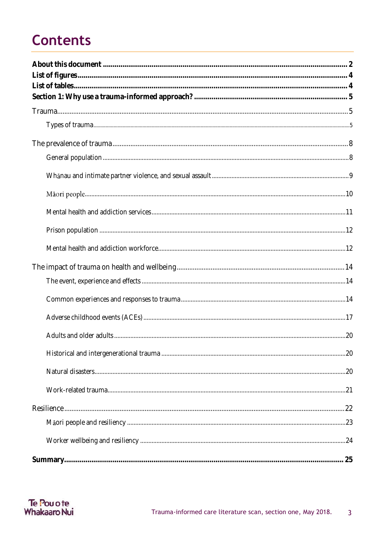## **Contents**

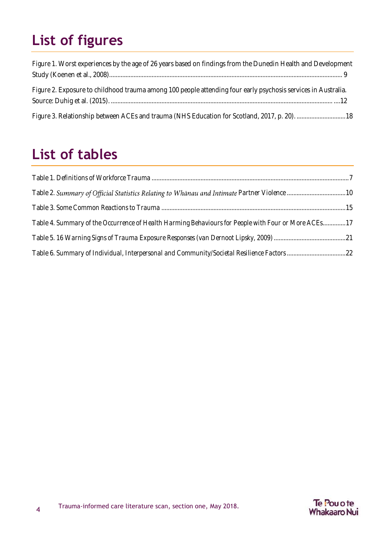# <span id="page-3-0"></span>**List of figures**

| Figure 1. Worst experiences by the age of 26 years based on findings from the Dunedin Health and Development  |  |
|---------------------------------------------------------------------------------------------------------------|--|
|                                                                                                               |  |
| Figure 2. Exposure to childhood trauma among 100 people attending four early psychosis services in Australia. |  |
|                                                                                                               |  |
| Figure 3. Relationship between ACEs and trauma (NHS Education for Scotland, 2017, p. 20). 18                  |  |

### <span id="page-3-1"></span>**List of tables**

| Table 2. Summary of Official Statistics Relating to Whanau and Intimate Partner Violence 10         |  |
|-----------------------------------------------------------------------------------------------------|--|
|                                                                                                     |  |
| Table 4. Summary of the Occurrence of Health Harming Behaviours for People with Four or More ACEs17 |  |
|                                                                                                     |  |
| Table 6. Summary of Individual, Interpersonal and Community/Societal Resilience Factors22           |  |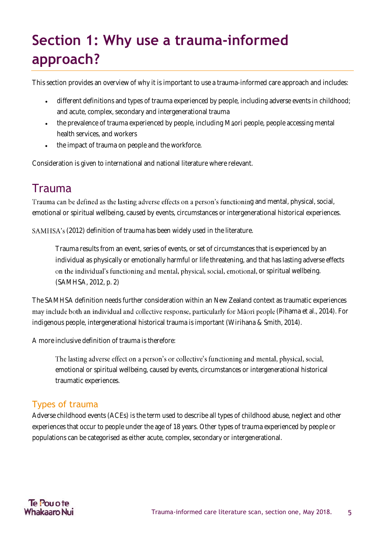# <span id="page-4-0"></span>**Section 1: Why use a trauma-informed approach?**

This section provides an overview of why it is important to use a trauma-informed care approach and includes:

- different definitions and types of trauma experienced by people, including adverse events in childhood; and acute, complex, secondary and intergenerational trauma
- the prevalence of trauma experienced by people, including Maori people, people accessing mental health services, and workers
- the impact of trauma on people and the workforce.

Consideration is given to international and national literature where relevant.

### <span id="page-4-1"></span>Trauma

Trauma can be defined as the lasting adverse effects on a person's functioning and mental, physical, social, emotional or spiritual wellbeing, caused by events, circumstances or intergenerational historical experiences.

SAMHSA's (2012) definition of trauma has been widely used in the literature.

Trauma results from an event, series of events, or set of circumstances that is experienced by an individual as physically or emotionally harmful or life threatening, and that has lasting adverse effects on the individual's functioning and mental, physical, social, emotional, or spiritual wellbeing. (SAMHSA, 2012, p. 2)

The SAMHSA definition needs further consideration within an New Zealand context as traumatic experiences may include both an individual and collective response, particularly for Māori people (Pihama et al., 2014). For indigenous people, intergenerational historical trauma is important (Wirihana & Smith, 2014).

A more inclusive definition of trauma is therefore:

The lasting adverse effect on a person's or collective's functioning and mental, physical, social, emotional or spiritual wellbeing, caused by events, circumstances or intergenerational historical traumatic experiences.

#### <span id="page-4-2"></span>Types of trauma

Adverse childhood events (ACEs) is the term used to describe all types of childhood abuse, neglect and other experiences that occur to people under the age of 18 years. Other types of trauma experienced by people or populations can be categorised as either acute, complex, secondary or intergenerational.

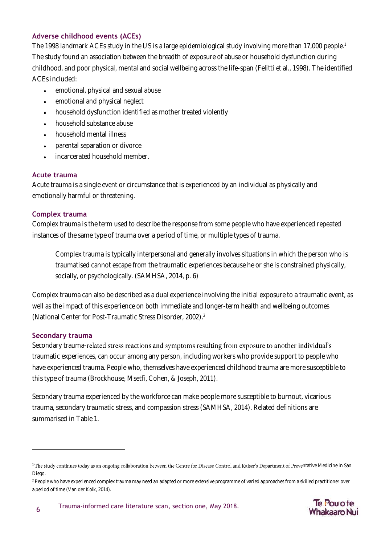#### **Adverse childhood events (ACEs)**

The 1998 landmark ACEs study in the US is a large epidemiological study involving more than 17,000 people. 1 The study found an association between the breadth of exposure of abuse or household dysfunction during childhood, and poor physical, mental and social wellbeing across the life-span (Felitti et al., 1998). The identified ACEs included:

- emotional, physical and sexual abuse
- emotional and physical neglect
- household dysfunction identified as mother treated violently
- household substance abuse
- household mental illness
- parental separation or divorce
- incarcerated household member.

#### **Acute trauma**

Acute trauma is a single event or circumstance that is experienced by an individual as physically and emotionally harmful or threatening.

#### **Complex trauma**

Complex trauma is the term used to describe the response from some people who have experienced repeated instances of the same type of trauma over a period of time, or multiple types of trauma.

Complex trauma is typically interpersonal and generally involves situations in which the person who is traumatised cannot escape from the traumatic experiences because he or she is constrained physically, socially, or psychologically. (SAMHSA, 2014, p. 6)

Complex trauma can also be described as a dual experience involving the initial exposure to a traumatic event, as well as the impact of this experience on both immediate and longer-term health and wellbeing outcomes (National Center for Post-Traumatic Stress Disorder, 2002). 2

#### **Secondary trauma**

 $\overline{a}$ 

Secondary trauma-related stress reactions and symptoms resulting from exposure to another individual's traumatic experiences, can occur among any person, including workers who provide support to people who have experienced trauma. People who, themselves have experienced childhood trauma are more susceptible to this type of trauma (Brockhouse, Msetfi, Cohen, & Joseph, 2011).

Secondary trauma experienced by the workforce can make people more susceptible to burnout, vicarious trauma, secondary traumatic stress, and compassion stress (SAMHSA, 2014). Related definitions are summarised in Table 1.



<sup>&</sup>lt;sup>1</sup> The study continues today as an ongoing collaboration between the Centre for Disease Control and Kaiser's Department of Preventative Medicine in San Diego.

<sup>&</sup>lt;sup>2</sup> People who have experienced complex trauma may need an adapted or more extensive programme of varied approaches from a skilled practitioner over a period of time (Van der Kolk, 2014).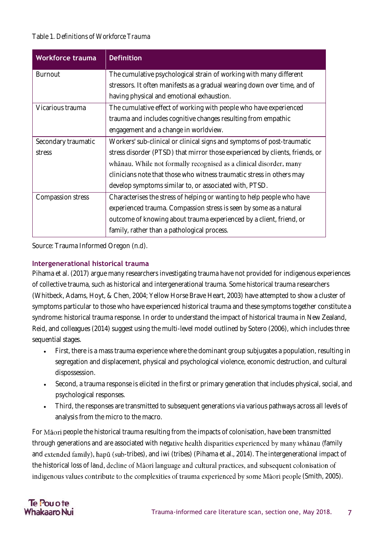#### <span id="page-6-0"></span>Table 1. *Definitions of Workforce Trauma*

| <b>Workforce trauma</b> | <b>Definition</b>                                                            |
|-------------------------|------------------------------------------------------------------------------|
| <b>Burnout</b>          | The cumulative psychological strain of working with many different           |
|                         | stressors. It often manifests as a gradual wearing down over time, and of    |
|                         | having physical and emotional exhaustion.                                    |
| Vicarious trauma        | The cumulative effect of working with people who have experienced            |
|                         | trauma and includes cognitive changes resulting from empathic                |
|                         | engagement and a change in worldview.                                        |
| Secondary traumatic     | Workers' sub-clinical or clinical signs and symptoms of post-traumatic       |
| stress                  | stress disorder (PTSD) that mirror those experienced by clients, friends, or |
|                         | whanau. While not formally recognised as a clinical disorder, many           |
|                         | clinicians note that those who witness traumatic stress in others may        |
|                         | develop symptoms similar to, or associated with, PTSD.                       |
| Compassion stress       | Characterises the stress of helping or wanting to help people who have       |
|                         | experienced trauma. Compassion stress is seen by some as a natural           |
|                         | outcome of knowing about trauma experienced by a client, friend, or          |
|                         | family, rather than a pathological process.                                  |

Source: Trauma Informed Oregon (n.d).

#### **Intergenerational historical trauma**

Pihama et al. (2017) argue many researchers investigating trauma have not provided for indigenous experiences of collective trauma, such as historical and intergenerational trauma. Some historical trauma researchers (Whitbeck, Adams, Hoyt, & Chen, 2004; Yellow Horse Brave Heart, 2003) have attempted to show a cluster of symptoms particular to those who have experienced historical trauma and these symptoms together constitute a syndrome: historical trauma response. In order to understand the impact of historical trauma in New Zealand, Reid, and colleagues (2014) suggest using the multi-level model outlined by Sotero (2006), which includes three sequential stages.

- First, there is a mass trauma experience where the dominant group subjugates a population, resulting in segregation and displacement, physical and psychological violence, economic destruction, and cultural dispossession.
- Second, a trauma response is elicited in the first or primary generation that includes physical, social, and psychological responses.
- Third, the responses are transmitted to subsequent generations via various pathways across all levels of analysis from the micro to the macro.

For Maori people the historical trauma resulting from the impacts of colonisation, have been transmitted through generations and are associated with negative health disparities experienced by many whanau (family and extended family), hapū (sub-tribes), and iwi (tribes) (Pihama et al., 2014). The intergenerational impact of the historical loss of land, decline of Maori language and cultural practices, and subsequent colonisation of indigenous values contribute to the complexities of trauma experienced by some Māori people (Smith, 2005).

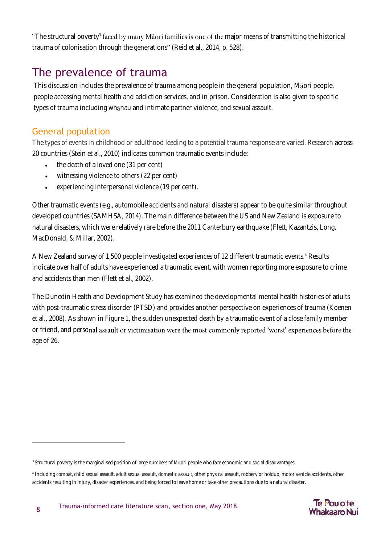"The structural poverty<sup>3</sup> faced by many Maori families is one of the major means of transmitting the historical trauma of colonisation through the generations" (Reid et al., 2014, p. 528).

### <span id="page-7-0"></span>The prevalence of trauma

This discussion includes the prevalence of trauma among people in the general population, Maori people, people accessing mental health and addiction services, and in prison. Consideration is also given to specific types of trauma including whanau and intimate partner violence, and sexual assault.

#### <span id="page-7-1"></span>General population

 $\overline{a}$ 

The types of events in childhood or adulthood leading to a potential trauma response are varied. Research across 20 countries (Stein et al., 2010) indicates common traumatic events include:

- the death of a loved one (31 per cent)
- witnessing violence to others (22 per cent)
- experiencing interpersonal violence (19 per cent).

Other traumatic events (e.g., automobile accidents and natural disasters) appear to be quite similar throughout developed countries (SAMHSA, 2014). The main difference between the US and New Zealand is exposure to natural disasters, which were relatively rare before the 2011 Canterbury earthquake (Flett, Kazantzis, Long, MacDonald, & Millar, 2002).

A New Zealand survey of 1,500 people investigated experiences of 12 different traumatic events.<sup>4</sup> Results indicate over half of adults have experienced a traumatic event, with women reporting more exposure to crime and accidents than men (Flett et al., 2002).

The Dunedin Health and Development Study has examined the developmental mental health histories of adults with post-traumatic stress disorder (PTSD) and provides another perspective on experiences of trauma (Koenen et al., 2008). As shown in Figure 1, the sudden unexpected death by a traumatic event of a close family member or friend, and personal assault or victimisation were the most commonly reported 'worst' experiences before the age of 26.



 $\,{}^3$  Structural poverty is the marginalised position of large numbers of Māori people who face economic and social disadvantages.

<sup>4</sup> Including combat, child sexual assault, adult sexual assault, domestic assault, other physical assault, robbery or holdup, motor vehicle accidents, other accidents resulting in injury, disaster experiences, and being forced to leave home or take other precautions due to a natural disaster.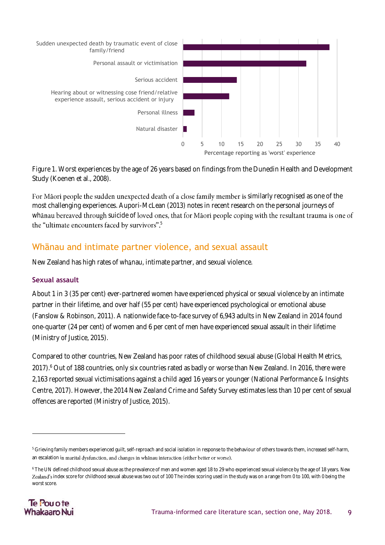<span id="page-8-1"></span>

*Figure 1*. Worst experiences by the age of 26 years based on findings from the Dunedin Health and Development Study (Koenen et al., 2008).

For Māori people the sudden unexpected death of a close family member is similarly recognised as one of the most challenging experiences. Aupori-McLean (2013) notes in recent research on the personal journeys of whanau bereaved through suicide of loved ones, that for Maori people coping with the resultant trauma is one of the "ultimate encounters faced by survivors".<sup>5</sup>

#### <span id="page-8-0"></span>Whānau and intimate partner violence, and sexual assault

New Zealand has high rates of whanau, intimate partner, and sexual violence.

#### **Sexual assault**

About 1 in 3 (35 per cent) ever-partnered women have experienced physical or sexual violence by an intimate partner in their lifetime, and over half (55 per cent) have experienced psychological or emotional abuse (Fanslow & Robinson, 2011). A nationwide face-to-face survey of 6,943 adults in New Zealand in 2014 found one-quarter (24 per cent) of women and 6 per cent of men have experienced sexual assault in their lifetime (Ministry of Justice, 2015).

Compared to other countries, New Zealand has poor rates of childhood sexual abuse (Global Health Metrics, 2017). <sup>6</sup> Out of 188 countries, only six countries rated as badly or worse than New Zealand. In 2016, there were 2,163 reported sexual victimisations against a child aged 16 years or younger (National Performance & Insights Centre, 2017). However, the *2014 New Zealand Crime and Safety Survey* estimates less than 10 per cent of sexual offences are reported (Ministry of Justice, 2015).

<sup>&</sup>lt;sup>6</sup> The UN defined childhood sexual abuse as the prevalence of men and women aged 18 to 29 who experienced sexual violence by the age of 18 years. New Zealand's index score for childhood sexual abuse was two out of 100 The index scoring used in the study was on a range from 0 to 100, with 0 being the worst score.



1

<sup>&</sup>lt;sup>5</sup> Grieving family members experienced guilt, self-reproach and social isolation in response to the behaviour of others towards them, increased self-harm, an escalation in marital dysfunction, and changes in whanau interaction (either better or worse).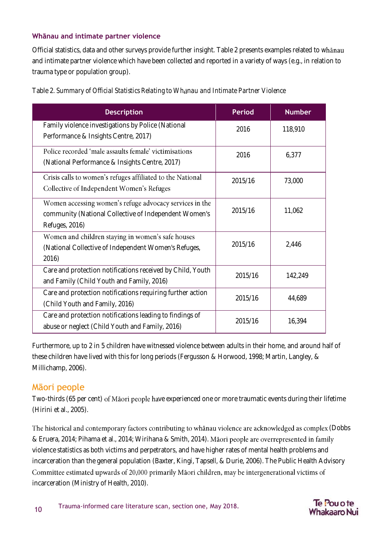#### **Whānau and intimate partner violence**

Official statistics, data and other surveys provide further insight. [Table 2](#page-9-1) presents examples related to w and intimate partner violence which have been collected and reported in a variety of ways (e.g., in relation to trauma type or population group).

<span id="page-9-1"></span>

| Table 2. Summary of Official Statistics Relating to Whanau and Intimate Partner Violence |  |
|------------------------------------------------------------------------------------------|--|
|------------------------------------------------------------------------------------------|--|

| <b>Description</b>                                                                                                                 | <b>Period</b> | <b>Number</b> |
|------------------------------------------------------------------------------------------------------------------------------------|---------------|---------------|
| Family violence investigations by Police (National<br>Performance & Insights Centre, 2017)                                         | 2016          | 118,910       |
| Police recorded 'male assaults female' victimisations<br>(National Performance & Insights Centre, 2017)                            | 2016          | 6,377         |
| Crisis calls to women's refuges affiliated to the National<br>Collective of Independent Women's Refuges                            | 2015/16       | 73,000        |
| Women accessing women's refuge advocacy services in the<br>community (National Collective of Independent Women's<br>Refuges, 2016) | 2015/16       | 11,062        |
| Women and children staying in women's safe houses<br>(National Collective of Independent Women's Refuges,<br>2016)                 | 2015/16       | 2,446         |
| Care and protection notifications received by Child, Youth<br>and Family (Child Youth and Family, 2016)                            | 2015/16       | 142,249       |
| Care and protection notifications requiring further action<br>(Child Youth and Family, 2016)                                       | 2015/16       | 44,689        |
| Care and protection notifications leading to findings of<br>abuse or neglect (Child Youth and Family, 2016)                        | 2015/16       | 16,394        |

Furthermore, up to 2 in 5 children have witnessed violence between adults in their home, and around half of these children have lived with this for long periods (Fergusson & Horwood, 1998; Martin, Langley, & Millichamp, 2006).

#### <span id="page-9-0"></span>Māori people

Two-thirds (65 per cent) of Māori people have experienced one or more traumatic events during their lifetime (Hirini et al., 2005).

The historical and contemporary factors contributing to whanau violence are acknowledged as complex (Dobbs & Eruera, 2014; Pihama et al., 2014; Wirihana & Smith, 2014). Māori people are overrepresented in family violence statistics as both victims and perpetrators, and have higher rates of mental health problems and incarceration than the general population (Baxter, Kingi, Tapsell, & Durie, 2006). The Public Health Advisory Committee estimated upwards of 20,000 primarily Māori children, may be intergenerational victims of incarceration (Ministry of Health, 2010).

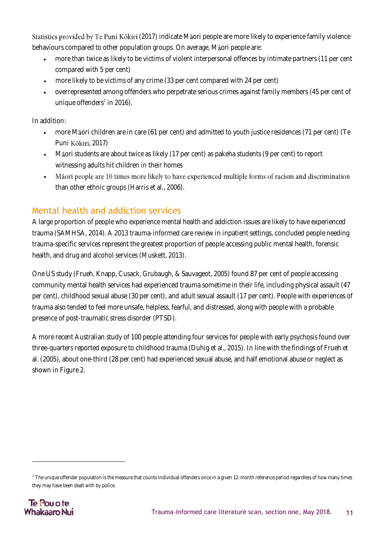Statistics provided by Te Puni Kōkiri (2017) indicate Maori people are more likely to experience family violence behaviours compared to other population groups. On average, Maori people are:

- more than twice as likely to be victims of violent interpersonal offences by intimate partners (11 per cent compared with 5 per cent)
- more likely to be victims of any crime (33 per cent compared with 24 per cent)
- overrepresented among offenders who perpetrate serious crimes against family members (45 per cent of unique offenders $\frac{7}{1}$  in 2016).

In addition:

- more Maori children are in care (61 per cent) and admitted to youth justice residences (71 per cent) (Te Puni Kōkiri, 2017)
- Maori students are about twice as likely (17 per cent) as pakeha students (9 per cent) to report witnessing adults hit children in their homes
- Māori people are 10 times more likely to have experienced multiple forms of racism and discrimination • than other ethnic groups (Harris et al., 2006).

#### <span id="page-10-0"></span>Mental health and addiction services

A large proportion of people who experience mental health and addiction issues are likely to have experienced trauma (SAMHSA, 2014). A 2013 trauma-informed care review in inpatient settings, concluded people needing trauma-specific services represent the greatest proportion of people accessing public mental health, forensic health, and drug and alcohol services (Muskett, 2013).

One US study (Frueh, Knapp, Cusack, Grubaugh, & Sauvageot, 2005) found 87 per cent of people accessing community mental health services had experienced trauma sometime in their life, including physical assault (47 per cent), childhood sexual abuse (30 per cent), and adult sexual assault (17 per cent). People with experiences of trauma also tended to feel more unsafe, helpless, fearful, and distressed, along with people with a probable presence of post-traumatic stress disorder (PTSD).

A more recent Australian study of 100 people attending four services for people with early psychosis found over three-quarters reported exposure to childhood trauma (Duhig et al., 2015). In line with the findings of Frueh et al. (2005), about one-third (28 per cent) had experienced sexual abuse, and half emotional abuse or neglect as shown in Figure 2.

<sup>&</sup>lt;sup>7</sup> The unique offender population is the measure that counts individual offenders once in a given 12-month reference period regardless of how many times they may have been dealt with by police.



1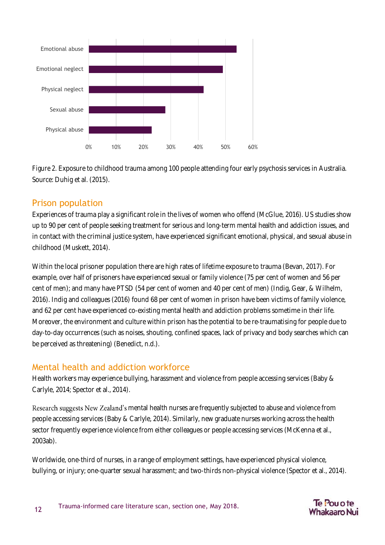<span id="page-11-2"></span>

*Figure 2.* Exposure to childhood trauma among 100 people attending four early psychosis services in Australia. Source: Duhig et al. (2015).

#### <span id="page-11-0"></span>Prison population

Experiences of trauma play a significant role in the lives of women who offend (McGlue, 2016). US studies show up to 90 per cent of people seeking treatment for serious and long-term mental health and addiction issues, and in contact with the criminal justice system, have experienced significant emotional, physical, and sexual abuse in childhood (Muskett, 2014).

Within the local prisoner population there are high rates of lifetime exposure to trauma (Bevan, 2017). For example, over half of prisoners have experienced sexual or family violence (75 per cent of women and 56 per cent of men); and many have PTSD (54 per cent of women and 40 per cent of men) (Indig, Gear, & Wilhelm, 2016). Indig and colleagues (2016) found 68 per cent of women in prison have been victims of family violence, and 62 per cent have experienced co-existing mental health and addiction problems sometime in their life. Moreover, the environment and culture within prison has the potential to be re-traumatising for people due to day-to-day occurrences (such as noises, shouting, confined spaces, lack of privacy and body searches which can be perceived as threatening) (Benedict, n.d.).

#### <span id="page-11-1"></span>Mental health and addiction workforce

Health workers may experience bullying, harassment and violence from people accessing services (Baby & Carlyle, 2014; Spector et al., 2014).

Research suggests New Zealand's mental health nurses are frequently subjected to abuse and violence from people accessing services (Baby & Carlyle, 2014). Similarly, new graduate nurses working across the health sector frequently experience violence from either colleagues or people accessing services (McKenna et al., 2003ab).

Worldwide, one-third of nurses, in a range of employment settings, have experienced physical violence, bullying, or injury; one-quarter sexual harassment; and two-thirds non-physical violence (Spector et al., 2014).

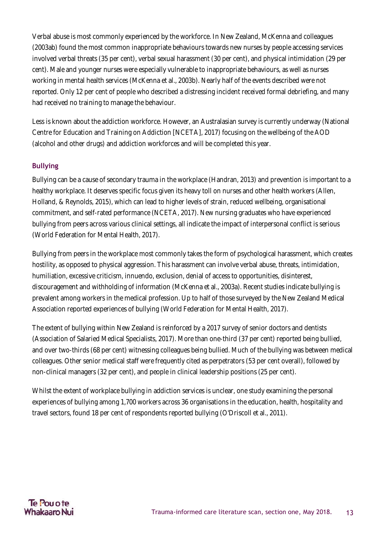Verbal abuse is most commonly experienced by the workforce. In New Zealand, McKenna and colleagues (2003ab) found the most common inappropriate behaviours towards new nurses by people accessing services involved verbal threats (35 per cent), verbal sexual harassment (30 per cent), and physical intimidation (29 per cent). Male and younger nurses were especially vulnerable to inappropriate behaviours, as well as nurses working in mental health services (McKenna et al., 2003b). Nearly half of the events described were not reported. Only 12 per cent of people who described a distressing incident received formal debriefing, and many had received no training to manage the behaviour.

Less is known about the addiction workforce. However, an Australasian survey is currently underway (National Centre for Education and Training on Addiction [NCETA], 2017) focusing on the wellbeing of the AOD (alcohol and other drugs) and addiction workforces and will be completed this year.

#### **Bullying**

Bullying can be a cause of secondary trauma in the workplace (Handran, 2013) and prevention is important to a healthy workplace. It deserves specific focus given its heavy toll on nurses and other health workers (Allen, Holland, & Reynolds, 2015), which can lead to higher levels of strain, reduced wellbeing, organisational commitment, and self-rated performance (NCETA, 2017). New nursing graduates who have experienced bullying from peers across various clinical settings, all indicate the impact of interpersonal conflict is serious (World Federation for Mental Health, 2017).

Bullying from peers in the workplace most commonly takes the form of psychological harassment, which creates hostility, as opposed to physical aggression. This harassment can involve verbal abuse, threats, intimidation, humiliation, excessive criticism, innuendo, exclusion, denial of access to opportunities, disinterest, discouragement and withholding of information (McKenna et al., 2003a). Recent studies indicate bullying is prevalent among workers in the medical profession. Up to half of those surveyed by the New Zealand Medical Association reported experiences of bullying (World Federation for Mental Health, 2017).

The extent of bullying within New Zealand is reinforced by a 2017 survey of senior doctors and dentists (Association of Salaried Medical Specialists, 2017). More than one-third (37 per cent) reported being bullied, and over two-thirds (68 per cent) witnessing colleagues being bullied. Much of the bullying was between medical colleagues. Other senior medical staff were frequently cited as perpetrators (53 per cent overall), followed by non-clinical managers (32 per cent), and people in clinical leadership positions (25 per cent).

Whilst the extent of workplace bullying in addiction services is unclear, one study examining the personal experiences of bullying among 1,700 workers across 36 organisations in the education, health, hospitality and travel sectors, found 18 per cent of respondents reported bullying (O'Driscoll et al., 2011).

#### Te Pou o te Whakaaro Nui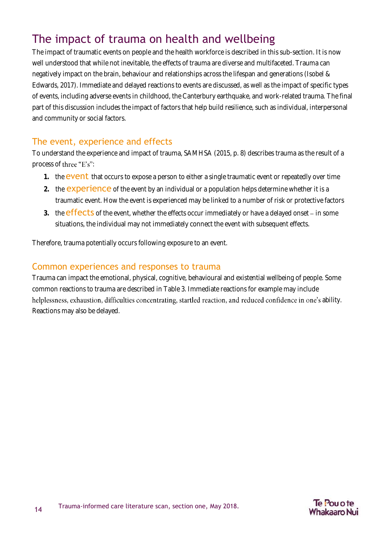### <span id="page-13-0"></span>The impact of trauma on health and wellbeing

The impact of traumatic events on people and the health workforce is described in this sub-section. It is now well understood that while not inevitable, the effects of trauma are diverse and multifaceted. Trauma can negatively impact on the brain, behaviour and relationships across the lifespan and generations (Isobel & Edwards, 2017). Immediate and delayed reactions to events are discussed, as well as the impact of specific types of events, including adverse events in childhood, the Canterbury earthquake, and work-related trauma. The final part of this discussion includes the impact of factors that help build resilience, such as individual, interpersonal and community or social factors.

#### <span id="page-13-1"></span>The event, experience and effects

To understand the experience and impact of trauma, SAMHSA (2015, p. 8) describes trauma as the result of a process of three "E's":

- 1. the **event** that occurs to expose a person to either a single traumatic event or repeatedly over time
- **2.** the experience of the event by an individual or a population helps determine whether it is a traumatic event. How the event is experienced may be linked to a number of risk or protective factors
- 3. the **effects** of the event, whether the effects occur immediately or have a delayed onset in some situations, the individual may not immediately connect the event with subsequent effects.

Therefore, trauma potentially occurs following exposure to an event.

#### <span id="page-13-2"></span>Common experiences and responses to trauma

Trauma can impact the emotional, physical, cognitive, behavioural and existential wellbeing of people. Some common reactions to trauma are described in Table 3. Immediate reactions for example may include helplessness, exhaustion, difficulties concentrating, startled reaction, and reduced confidence in one's ability. Reactions may also be delayed.

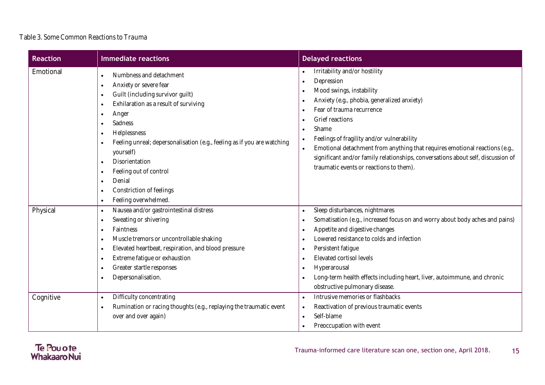#### Table 3. *Some Common Reactions to Trauma*

<span id="page-14-0"></span>

| <b>Reaction</b> | <b>Immediate reactions</b>                                                                                                                                                                                                                                                                                                                                                                                                                                                                                                                    | <b>Delayed reactions</b>                                                                                                                                                                                                                                                                                                                                                                                                                    |
|-----------------|-----------------------------------------------------------------------------------------------------------------------------------------------------------------------------------------------------------------------------------------------------------------------------------------------------------------------------------------------------------------------------------------------------------------------------------------------------------------------------------------------------------------------------------------------|---------------------------------------------------------------------------------------------------------------------------------------------------------------------------------------------------------------------------------------------------------------------------------------------------------------------------------------------------------------------------------------------------------------------------------------------|
| Emotional       | Numbness and detachment<br>$\bullet$<br>Anxiety or severe fear<br>$\bullet$<br>Guilt (including survivor guilt)<br>$\bullet$<br>Exhilaration as a result of surviving<br>$\bullet$<br>Anger<br>$\bullet$<br>Sadness<br>$\bullet$<br>Helplessness<br>$\bullet$<br>Feeling unreal; depersonalisation (e.g., feeling as if you are watching<br>$\bullet$<br>yourself)<br>Disorientation<br>$\bullet$<br>Feeling out of control<br>$\bullet$<br>Denial<br>$\bullet$<br>Constriction of feelings<br>$\bullet$<br>Feeling overwhelmed.<br>$\bullet$ | Irritability and/or hostility<br>Depression<br>Mood swings, instability<br>Anxiety (e.g., phobia, generalized anxiety)<br>Fear of trauma recurrence<br>Grief reactions<br>Shame<br>Feelings of fragility and/or vulnerability<br>Emotional detachment from anything that requires emotional reactions (e.g.,<br>significant and/or family relationships, conversations about self, discussion of<br>traumatic events or reactions to them). |
| Physical        | Nausea and/or gastrointestinal distress<br>$\bullet$<br>Sweating or shivering<br>$\bullet$<br>Faintness<br>$\bullet$<br>Muscle tremors or uncontrollable shaking<br>$\bullet$<br>Elevated heartbeat, respiration, and blood pressure<br>$\bullet$<br>Extreme fatigue or exhaustion<br>$\bullet$<br>Greater startle responses<br>$\bullet$<br>Depersonalisation.<br>$\bullet$                                                                                                                                                                  | Sleep disturbances, nightmares<br>$\bullet$<br>Somatisation (e.g., increased focus on and worry about body aches and pains)<br>Appetite and digestive changes<br>Lowered resistance to colds and infection<br>Persistent fatigue<br>Elevated cortisol levels<br>Hyperarousal<br>$\bullet$<br>Long-term health effects including heart, liver, autoimmune, and chronic<br>obstructive pulmonary disease.                                     |
| Cognitive       | Difficulty concentrating<br>$\bullet$<br>Rumination or racing thoughts (e.g., replaying the traumatic event<br>$\bullet$<br>over and over again)                                                                                                                                                                                                                                                                                                                                                                                              | Intrusive memories or flashbacks<br>$\bullet$<br>Reactivation of previous traumatic events<br>$\bullet$<br>Self-blame<br>$\bullet$<br>Preoccupation with event                                                                                                                                                                                                                                                                              |

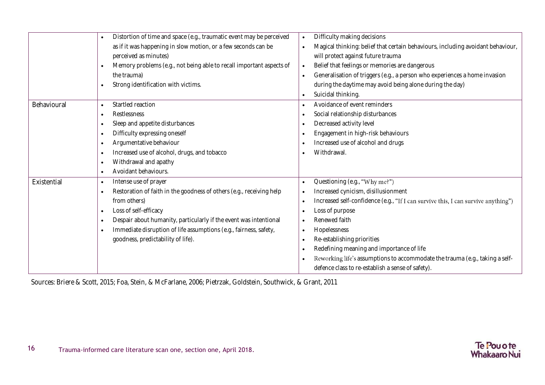|             | Distortion of time and space (e.g., traumatic event may be perceived<br>$\bullet$ | Difficulty making decisions<br>$\bullet$                                                       |
|-------------|-----------------------------------------------------------------------------------|------------------------------------------------------------------------------------------------|
|             | as if it was happening in slow motion, or a few seconds can be                    | Magical thinking: belief that certain behaviours, including avoidant behaviour,<br>$\bullet$   |
|             | perceived as minutes)                                                             | will protect against future trauma                                                             |
|             | Memory problems (e.g., not being able to recall important aspects of<br>$\bullet$ | Belief that feelings or memories are dangerous<br>$\bullet$                                    |
|             | the trauma)                                                                       | Generalisation of triggers (e.g., a person who experiences a home invasion                     |
|             | Strong identification with victims.<br>$\bullet$                                  | during the daytime may avoid being alone during the day)                                       |
|             |                                                                                   | Suicidal thinking.                                                                             |
| Behavioural | Startled reaction<br>$\bullet$                                                    | Avoidance of event reminders                                                                   |
|             | Restlessness<br>$\bullet$                                                         | Social relationship disturbances                                                               |
|             | Sleep and appetite disturbances<br>$\bullet$                                      | Decreased activity level                                                                       |
|             | Difficulty expressing oneself<br>$\bullet$                                        | Engagement in high-risk behaviours                                                             |
|             | Argumentative behaviour<br>$\bullet$                                              | Increased use of alcohol and drugs                                                             |
|             | Increased use of alcohol, drugs, and tobacco<br>$\bullet$                         | Withdrawal.                                                                                    |
|             | Withdrawal and apathy<br>$\bullet$                                                |                                                                                                |
|             | Avoidant behaviours.<br>$\bullet$                                                 |                                                                                                |
| Existential | Intense use of prayer<br>$\bullet$                                                | Questioning (e.g., "Why me?")<br>$\bullet$                                                     |
|             | Restoration of faith in the goodness of others (e.g., receiving help<br>$\bullet$ | Increased cynicism, disillusionment                                                            |
|             | from others)                                                                      | Increased self-confidence (e.g., "If I can survive this, I can survive anything")<br>$\bullet$ |
|             | Loss of self-efficacy<br>$\bullet$                                                | Loss of purpose                                                                                |
|             | Despair about humanity, particularly if the event was intentional<br>$\bullet$    | Renewed faith                                                                                  |
|             | Immediate disruption of life assumptions (e.g., fairness, safety,<br>$\bullet$    | Hopelessness<br>$\bullet$                                                                      |
|             | goodness, predictability of life).                                                | Re-establishing priorities<br>$\bullet$                                                        |
|             |                                                                                   | Redefining meaning and importance of life                                                      |
|             |                                                                                   | Reworking life's assumptions to accommodate the trauma (e.g., taking a self-                   |
|             |                                                                                   | defence class to re-establish a sense of safety).                                              |

Sources: Briere & Scott, 2015; Foa, Stein, & McFarlane, 2006; Pietrzak, Goldstein, Southwick, & Grant, 2011

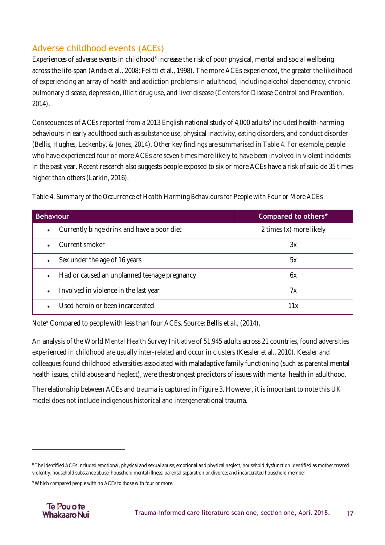#### <span id="page-16-0"></span>Adverse childhood events (ACEs)

Experiences of adverse events in childhood<sup>8</sup> increase the risk of poor physical, mental and social wellbeing across the life-span (Anda et al., 2008; Felitti et al., 1998). The more ACEs experienced, the greater the likelihood of experiencing an array of health and addiction problems in adulthood, including alcohol dependency, chronic pulmonary disease, depression, illicit drug use, and liver disease (Centers for Disease Control and Prevention, 2014).

Consequences of ACEs reported from a 2013 English national study of 4,000 adults<sup>9</sup> included health-harming behaviours in early adulthood such as substance use, physical inactivity, eating disorders, and conduct disorder (Bellis, Hughes, Leckenby, & Jones, 2014). Other key findings are summarised in Table 4. For example, people who have experienced four or more ACEs are seven times more likely to have been involved in violent incidents in the past year. Recent research also suggests people exposed to six or more ACEs have a risk of suicide 35 times higher than others (Larkin, 2016).

<span id="page-16-1"></span>

|  | Table 4. Summary of the Occurrence of Health Harming Behaviours for People with Four or More ACEs |  |  |  |
|--|---------------------------------------------------------------------------------------------------|--|--|--|
|  |                                                                                                   |  |  |  |
|  |                                                                                                   |  |  |  |
|  |                                                                                                   |  |  |  |

| <b>Behaviour</b>                                        | Compared to others*     |  |  |
|---------------------------------------------------------|-------------------------|--|--|
| Currently binge drink and have a poor diet<br>$\bullet$ | 2 times (x) more likely |  |  |
| Current smoker                                          | 3x                      |  |  |
| Sex under the age of 16 years                           | 5x                      |  |  |
| Had or caused an unplanned teenage pregnancy            | 6X                      |  |  |
| Involved in violence in the last year<br>$\bullet$      | 7х                      |  |  |
| Used heroin or been incarcerated                        | 11 x                    |  |  |

*Note\** Compared to people with less than four ACEs. Source: Bellis et al., (2014).

An analysis of the World Mental Health Survey Initiative of 51,945 adults across 21 countries, found adversities experienced in childhood are usually inter-related and occur in clusters (Kessler et al., 2010). Kessler and colleagues found childhood adversities associated with maladaptive family functioning (such as parental mental health issues, child abuse and neglect), were the strongest predictors of issues with mental health in adulthood.

The relationship between ACEs and trauma is captured in Figure 3. However, it is important to note this UK model does not include indigenous historical and intergenerational trauma.

<sup>&</sup>lt;sup>9</sup> Which compared people with no ACEs to those with four or more.



1

<sup>&</sup>lt;sup>8</sup> The identified ACEs included emotional, physical and sexual abuse; emotional and physical neglect; household dysfunction identified as mother treated violently; household substance abuse; household mental illness; parental separation or divorce; and incarcerated household member.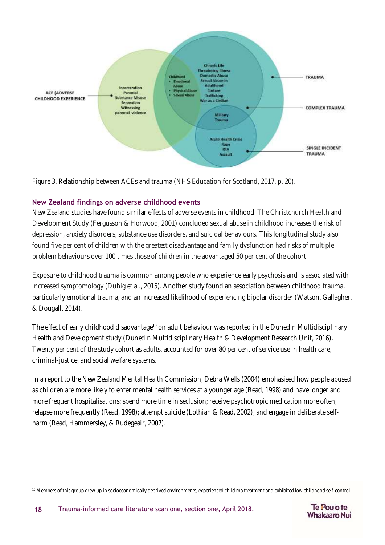

<span id="page-17-0"></span>*Figure 3*. Relationship between ACEs and trauma (NHS Education for Scotland, 2017, p. 20).

#### **New Zealand findings on adverse childhood events**

New Zealand studies have found similar effects of adverse events in childhood. The Christchurch Health and Development Study (Fergusson & Horwood, 2001) concluded sexual abuse in childhood increases the risk of depression, anxiety disorders, substance use disorders, and suicidal behaviours. This longitudinal study also found five per cent of children with the greatest disadvantage and family dysfunction had risks of multiple problem behaviours over 100 times those of children in the advantaged 50 per cent of the cohort.

Exposure to childhood trauma is common among people who experience early psychosis and is associated with increased symptomology (Duhig et al., 2015). Another study found an association between childhood trauma, particularly emotional trauma, and an increased likelihood of experiencing bipolar disorder (Watson, Gallagher, & Dougall, 2014).

The effect of early childhood disadvantage<sup>10</sup> on adult behaviour was reported in the Dunedin Multidisciplinary Health and Development study (Dunedin Multidisciplinary Health & Development Research Unit, 2016). Twenty per cent of the study cohort as adults, accounted for over 80 per cent of service use in health care, criminal-justice, and social welfare systems.

In a report to the New Zealand Mental Health Commission, Debra Wells (2004) emphasised how people abused as children are more likely to enter mental health services at a younger age (Read, 1998) and have longer and more frequent hospitalisations; spend more time in seclusion; receive psychotropic medication more often; relapse more frequently (Read, 1998); attempt suicide (Lothian & Read, 2002); and engage in deliberate selfharm (Read, Hammersley, & Rudegeair, 2007).

 $\overline{a}$ 



<sup>&</sup>lt;sup>10</sup> Members of this group grew up in socioeconomically deprived environments, experienced child maltreatment and exhibited low childhood self-control.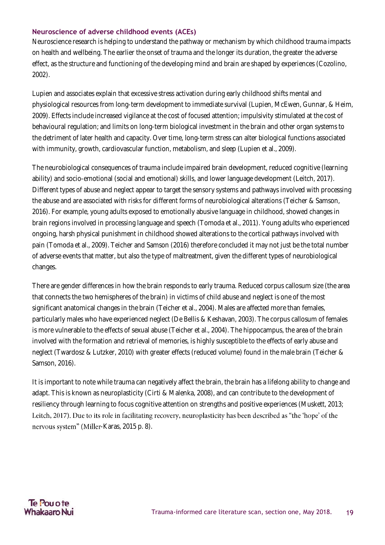#### **Neuroscience of adverse childhood events (ACEs)**

Neuroscience research is helping to understand the pathway or mechanism by which childhood trauma impacts on health and wellbeing. The earlier the onset of trauma and the longer its duration, the greater the adverse effect, as the structure and functioning of the developing mind and brain are shaped by experiences (Cozolino, 2002).

Lupien and associates explain that excessive stress activation during early childhood shifts mental and physiological resources from long-term development to immediate survival (Lupien, McEwen, Gunnar, & Heim, 2009). Effects include increased vigilance at the cost of focused attention; impulsivity stimulated at the cost of behavioural regulation; and limits on long-term biological investment in the brain and other organ systems to the detriment of later health and capacity. Over time, long-term stress can alter biological functions associated with immunity, growth, cardiovascular function, metabolism, and sleep (Lupien et al., 2009).

The neurobiological consequences of trauma include impaired brain development, reduced cognitive (learning ability) and socio-emotional (social and emotional) skills, and lower language development (Leitch, 2017). Different types of abuse and neglect appear to target the sensory systems and pathways involved with processing the abuse and are associated with risks for different forms of neurobiological alterations (Teicher & Samson, 2016). For example, young adults exposed to emotionally abusive language in childhood, showed changes in brain regions involved in processing language and speech (Tomoda et al., 2011). Young adults who experienced ongoing, harsh physical punishment in childhood showed alterations to the cortical pathways involved with pain (Tomoda et al., 2009). Teicher and Samson (2016) therefore concluded it may not just be the total number of adverse events that matter, but also the type of maltreatment, given the different types of neurobiological changes.

There are gender differences in how the brain responds to early trauma. Reduced corpus callosum size (the area that connects the two hemispheres of the brain) in victims of child abuse and neglect is one of the most significant anatomical changes in the brain (Teicher et al., 2004). Males are affected more than females, particularly males who have experienced neglect (De Bellis & Keshavan, 2003). The corpus callosum of females is more vulnerable to the effects of sexual abuse (Teicher et al., 2004). The hippocampus, the area of the brain involved with the formation and retrieval of memories, is highly susceptible to the effects of early abuse and neglect (Twardosz & Lutzker, 2010) with greater effects (reduced volume) found in the male brain (Teicher & Samson, 2016).

It is important to note while trauma can negatively affect the brain, the brain has a lifelong ability to change and adapt. This is known as neuroplasticity (Cirti & Malenka, 2008), and can contribute to the development of resiliency through learning to focus cognitive attention on strengths and positive experiences (Muskett, 2013; Leitch, 2017). Due to its role in facilitating recovery, neuroplasticity has been described as "the 'hope' of the nervous system" (Miller-Karas, 2015 p. 8).

#### Te Pou o te Whakaaro Nui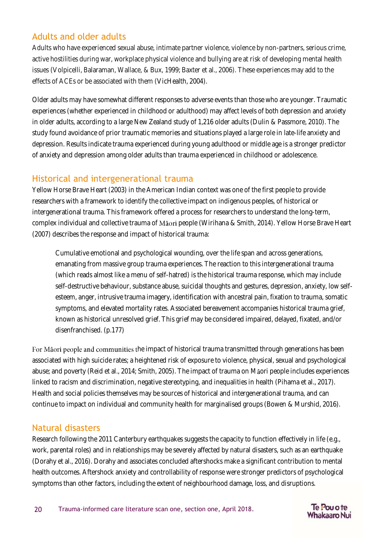#### <span id="page-19-0"></span>Adults and older adults

Adults who have experienced sexual abuse, intimate partner violence, violence by non-partners, serious crime, active hostilities during war, workplace physical violence and bullying are at risk of developing mental health issues (Volpicelli, Balaraman, Wallace, & Bux, 1999; Baxter et al., 2006). These experiences may add to the effects of ACEs or be associated with them (VicHealth, 2004).

Older adults may have somewhat different responses to adverse events than those who are younger. Traumatic experiences (whether experienced in childhood or adulthood) may affect levels of both depression and anxiety in older adults, according to a large New Zealand study of 1,216 older adults (Dulin & Passmore, 2010). The study found avoidance of prior traumatic memories and situations played a large role in late-life anxiety and depression. Results indicate trauma experienced during young adulthood or middle age is a stronger predictor of anxiety and depression among older adults than trauma experienced in childhood or adolescence.

#### <span id="page-19-1"></span>Historical and intergenerational trauma

Yellow Horse Brave Heart (2003) in the American Indian context was one of the first people to provide researchers with a framework to identify the collective impact on indigenous peoples, of historical or intergenerational trauma. This framework offered a process for researchers to understand the long-term, complex individual and collective trauma of Maori people (Wirihana & Smith, 2014). Yellow Horse Brave Heart (2007) describes the response and impact of historical trauma:

Cumulative emotional and psychological wounding, over the life span and across generations, emanating from massive group trauma experiences. The reaction to this intergenerational trauma (which reads almost like a menu of self-hatred) is the historical trauma response, which may include self-destructive behaviour, substance abuse, suicidal thoughts and gestures, depression, anxiety, low selfesteem, anger, intrusive trauma imagery, identification with ancestral pain, fixation to trauma, somatic symptoms, and elevated mortality rates. Associated bereavement accompanies historical trauma grief, known as historical unresolved grief. This grief may be considered impaired, delayed, fixated, and/or disenfranchised. (p.177)

For Māori people and communities the impact of historical trauma transmitted through generations has been associated with high suicide rates; a heightened risk of exposure to violence, physical, sexual and psychological abuse; and poverty (Reid et al., 2014; Smith, 2005). The impact of trauma on Maori people includes experiences linked to racism and discrimination, negative stereotyping, and inequalities in health (Pihama et al., 2017). Health and social policies themselves may be sources of historical and intergenerational trauma, and can continue to impact on individual and community health for marginalised groups (Bowen & Murshid, 2016).

#### <span id="page-19-2"></span>Natural disasters

Research following the 2011 Canterbury earthquakes suggests the capacity to function effectively in life (e.g., work, parental roles) and in relationships may be severely affected by natural disasters, such as an earthquake (Dorahy et al., 2016). Dorahy and associates concluded aftershocks make a significant contribution to mental health outcomes. Aftershock anxiety and controllability of response were stronger predictors of psychological symptoms than other factors, including the extent of neighbourhood damage, loss, and disruptions.

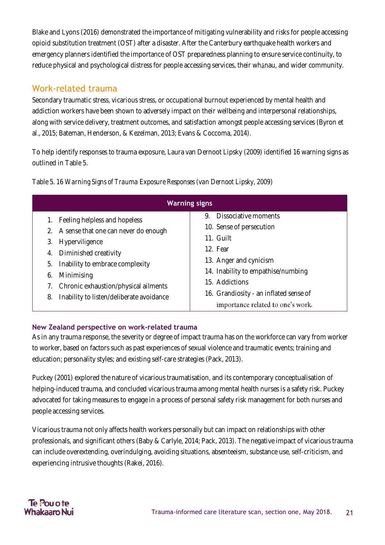Blake and Lyons (2016) demonstrated the importance of mitigating vulnerability and risks for people accessing opioid substitution treatment (OST) after a disaster. After the Canterbury earthquake health workers and emergency planners identified the importance of OST preparedness planning to ensure service continuity, to reduce physical and psychological distress for people accessing services, their whanau, and wider community.

#### <span id="page-20-0"></span>Work-related trauma

Secondary traumatic stress, vicarious stress, or occupational burnout experienced by mental health and addiction workers have been shown to adversely impact on their wellbeing and interpersonal relationships, along with service delivery, treatment outcomes, and satisfaction amongst people accessing services (Byron et al., 2015; Bateman, Henderson, & Kezelman, 2013; Evans & Coccoma, 2014).

To help identify responses to trauma exposure, Laura van Dernoot Lipsky (2009) identified 16 warning signs as outlined in Table 5.

| <b>Warning signs</b>                                                                                                                                                                                                                                                                      |                                                                                                                                                                                                                                                  |  |  |  |
|-------------------------------------------------------------------------------------------------------------------------------------------------------------------------------------------------------------------------------------------------------------------------------------------|--------------------------------------------------------------------------------------------------------------------------------------------------------------------------------------------------------------------------------------------------|--|--|--|
| Feeling helpless and hopeless<br>A sense that one can never do enough<br>2.<br>Hyperviligence<br>3.<br>Diminished creativity<br>4.<br>Inability to embrace complexity<br>5.<br>Minimising<br>6.<br>Chronic exhaustion/physical ailments<br>Inability to listen/deliberate avoidance<br>8. | Dissociative moments<br>9.<br>10. Sense of persecution<br>11. Guilt<br>12. Fear<br>13. Anger and cynicism<br>14. Inability to empathise/numbing<br>15. Addictions<br>16. Grandiosity - an inflated sense of<br>importance related to one's work. |  |  |  |

<span id="page-20-1"></span>Table 5. *16 Warning Signs of Trauma Exposure Responses (van Dernoot Lipsky, 2009)*

#### **New Zealand perspective on work-related trauma**

As in any trauma response, the severity or degree of impact trauma has on the workforce can vary from worker to worker, based on factors such as past experiences of sexual violence and traumatic events; training and education; personality styles; and existing self-care strategies (Pack, 2013).

Puckey (2001) explored the nature of vicarious traumatisation, and its contemporary conceptualisation of helping-induced trauma, and concluded vicarious trauma among mental health nurses is a safety risk. Puckey advocated for taking measures to engage in a process of personal safety risk management for both nurses and people accessing services.

Vicarious trauma not only affects health workers personally but can impact on relationships with other professionals, and significant others (Baby & Carlyle, 2014; Pack, 2013). The negative impact of vicarious trauma can include overextending, overindulging, avoiding situations, absenteeism, substance use, self-criticism, and experiencing intrusive thoughts (Rakei, 2016).

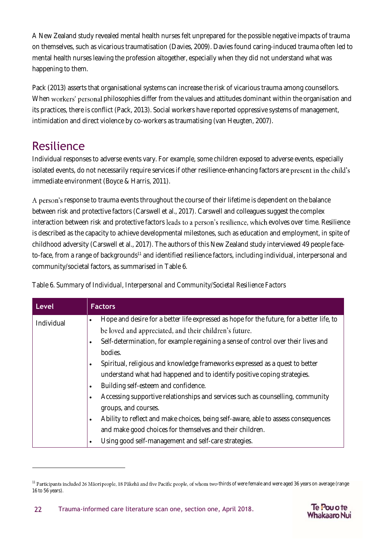A New Zealand study revealed mental health nurses felt unprepared for the possible negative impacts of trauma on themselves, such as vicarious traumatisation (Davies, 2009). Davies found caring-induced trauma often led to mental health nurses leaving the profession altogether, especially when they did not understand what was happening to them.

Pack (2013) asserts that organisational systems can increase the risk of vicarious trauma among counsellors. When workers' personal philosophies differ from the values and attitudes dominant within the organisation and its practices, there is conflict (Pack, 2013). Social workers have reported oppressive systems of management, intimidation and direct violence by co-workers as traumatising (van Heugten, 2007).

### <span id="page-21-0"></span>Resilience

 $\overline{a}$ 

Individual responses to adverse events vary. For example, some children exposed to adverse events, especially isolated events, do not necessarily require services if other resilience-enhancing factors are present in the child's immediate environment (Boyce & Harris, 2011).

A person's response to trauma events throughout the course of their lifetime is dependent on the balance between risk and protective factors (Carswell et al., 2017). Carswell and colleagues suggest the complex interaction between risk and protective factors leads to a person's resilience, which evolves over time. Resilience is described as the capacity to achieve developmental milestones, such as education and employment, in spite of childhood adversity (Carswell et al., 2017). The authors of this New Zealand study interviewed 49 people faceto-face, from a range of backgrounds<sup>11</sup> and identified resilience factors, including individual, interpersonal and community/societal factors, as summarised in Table 6.

<span id="page-21-1"></span>

| Table 6. Summary of Individual, Interpersonal and Community/Societal Resilience Factors |  |  |  |
|-----------------------------------------------------------------------------------------|--|--|--|
|-----------------------------------------------------------------------------------------|--|--|--|

| <b>Level</b> | <b>Factors</b>                                                                                         |
|--------------|--------------------------------------------------------------------------------------------------------|
| Individual   | Hope and desire for a better life expressed as hope for the future, for a better life, to<br>$\bullet$ |
|              | be loved and appreciated, and their children's future.                                                 |
|              | Self-determination, for example regaining a sense of control over their lives and                      |
|              | bodies.                                                                                                |
|              | Spiritual, religious and knowledge frameworks expressed as a quest to better<br>$\bullet$              |
|              | understand what had happened and to identify positive coping strategies.                               |
|              | Building self-esteem and confidence.<br>$\bullet$                                                      |
|              | Accessing supportive relationships and services such as counselling, community<br>٠                    |
|              | groups, and courses.                                                                                   |
|              | Ability to reflect and make choices, being self-aware, able to assess consequences<br>$\bullet$        |
|              | and make good choices for themselves and their children.                                               |
|              | Using good self-management and self-care strategies.                                                   |



 $^{11}$  Participants included 26 Māori people, 18 Pākehā and five Pacific people, of whom two-thirds of were female and were aged 36 years on average (range 16 to 56 years).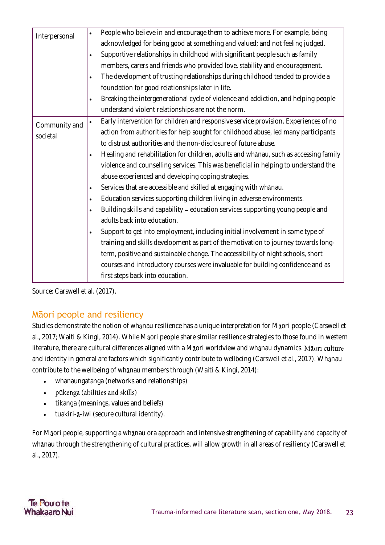| Interpersonal             | People who believe in and encourage them to achieve more. For example, being<br>$\bullet$         |
|---------------------------|---------------------------------------------------------------------------------------------------|
|                           | acknowledged for being good at something and valued; and not feeling judged.                      |
|                           | Supportive relationships in childhood with significant people such as family<br>$\bullet$         |
|                           | members, carers and friends who provided love, stability and encouragement.                       |
|                           | The development of trusting relationships during childhood tended to provide a<br>$\bullet$       |
|                           | foundation for good relationships later in life.                                                  |
|                           | Breaking the intergenerational cycle of violence and addiction, and helping people<br>$\bullet$   |
|                           | understand violent relationships are not the norm.                                                |
| Community and<br>societal | Early intervention for children and responsive service provision. Experiences of no<br>$\bullet$  |
|                           | action from authorities for help sought for childhood abuse, led many participants                |
|                           | to distrust authorities and the non-disclosure of future abuse.                                   |
|                           | Healing and rehabilitation for children, adults and whanau, such as accessing family<br>$\bullet$ |
|                           | violence and counselling services. This was beneficial in helping to understand the               |
|                           | abuse experienced and developing coping strategies.                                               |
|                           | Services that are accessible and skilled at engaging with whanau.<br>$\bullet$                    |
|                           | Education services supporting children living in adverse environments.<br>$\bullet$               |
|                           | Building skills and capability - education services supporting young people and<br>$\bullet$      |
|                           | adults back into education.                                                                       |
|                           | Support to get into employment, including initial involvement in some type of                     |
|                           | training and skills development as part of the motivation to journey towards long-                |
|                           | term, positive and sustainable change. The accessibility of night schools, short                  |
|                           | courses and introductory courses were invaluable for building confidence and as                   |
|                           | first steps back into education.                                                                  |
|                           |                                                                                                   |

<span id="page-22-0"></span>Source: Carswell et al. (2017).

#### Māori people and resiliency

Studies demonstrate the notion of whanau resilience has a unique interpretation for Maori people (Carswell et al., 2017; Waiti & Kingi, 2014). While Maori people share similar resilience strategies to those found in western literature, there are cultural differences aligned with a Maori worldview and whanau dynamics. Maori culture and identity in general are factors which significantly contribute to wellbeing (Carswell et al., 2017). Whanau contribute to the wellbeing of whanau members through (Waiti & Kingi, 2014):

- whanaungatanga (networks and relationships)
- pūkenga (abilities and skills) •
- tikanga (meanings, values and beliefs)
- tuakiri-ā-iwi (secure cultural identity).

For Maori people, supporting a whanau ora approach and intensive strengthening of capability and capacity of whanau through the strengthening of cultural practices, will allow growth in all areas of resiliency (Carswell et al., 2017).

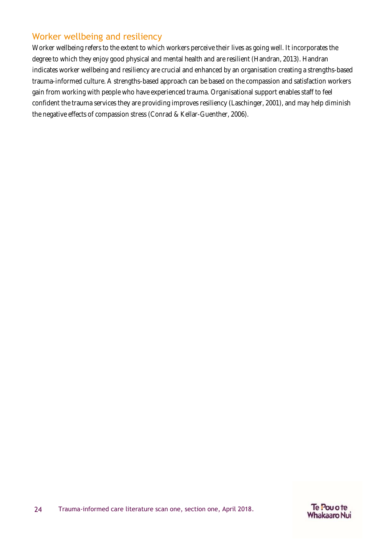#### <span id="page-23-0"></span>Worker wellbeing and resiliency

Worker wellbeing refers to the extent to which workers perceive their lives as going well. It incorporates the degree to which they enjoy good physical and mental health and are resilient (Handran, 2013). Handran indicates worker wellbeing and resiliency are crucial and enhanced by an organisation creating a strengths-based trauma-informed culture. A strengths-based approach can be based on the compassion and satisfaction workers gain from working with people who have experienced trauma. Organisational support enables staff to feel confident the trauma services they are providing improves resiliency (Laschinger, 2001), and may help diminish the negative effects of compassion stress (Conrad & Kellar-Guenther, 2006).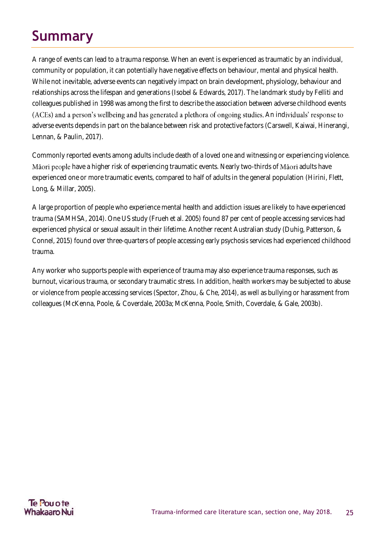# <span id="page-24-0"></span>**Summary**

A range of events can lead to a trauma response. When an event is experienced as traumatic by an individual, community or population, it can potentially have negative effects on behaviour, mental and physical health. While not inevitable, adverse events can negatively impact on brain development, physiology, behaviour and relationships across the lifespan and generations (Isobel & Edwards, 2017). The landmark study by Felliti and colleagues published in 1998 was among the first to describe the association between adverse childhood events (ACEs) and a person's wellbeing and has generated a plethora of ongoing studies. An individuals' response to adverse events depends in part on the balance between risk and protective factors (Carswell, Kaiwai, Hinerangi, Lennan, & Paulin, 2017).

Commonly reported events among adults include death of a loved one and witnessing or experiencing violence. Māori people have a higher risk of experiencing traumatic events. Nearly two-thirds of Māori adults have experienced one or more traumatic events, compared to half of adults in the general population (Hirini, Flett, Long, & Millar, 2005).

A large proportion of people who experience mental health and addiction issues are likely to have experienced trauma (SAMHSA, 2014). One US study (Frueh et al. 2005) found 87 per cent of people accessing services had experienced physical or sexual assault in their lifetime. Another recent Australian study (Duhig, Patterson, & Connel, 2015) found over three-quarters of people accessing early psychosis services had experienced childhood trauma.

Any worker who supports people with experience of trauma may also experience trauma responses, such as burnout, vicarious trauma, or secondary traumatic stress. In addition, health workers may be subjected to abuse or violence from people accessing services (Spector, Zhou, & Che, 2014), as well as bullying or harassment from colleagues (McKenna, Poole, & Coverdale, 2003a; McKenna, Poole, Smith, Coverdale, & Gale, 2003b).